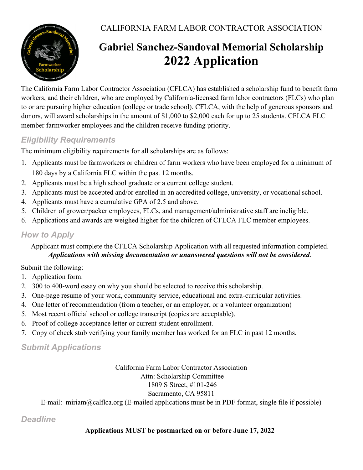CALIFORNIA FARM LABOR CONTRACTOR ASSOCIATION



# Gabriel Sanchez-Sandoval Memorial Scholarship 2022 Application

The California Farm Labor Contractor Association (CFLCA) has established a scholarship fund to benefit farm workers, and their children, who are employed by California-licensed farm labor contractors (FLCs) who plan to or are pursuing higher education (college or trade school). CFLCA, with the help of generous sponsors and donors, will award scholarships in the amount of \$1,000 to \$2,000 each for up to 25 students. CFLCA FLC member farmworker employees and the children receive funding priority.

## Eligibility Requirements

The minimum eligibility requirements for all scholarships are as follows:

- 1. Applicants must be farmworkers or children of farm workers who have been employed for a minimum of 180 days by a California FLC within the past 12 months.
- 2. Applicants must be a high school graduate or a current college student.
- 3. Applicants must be accepted and/or enrolled in an accredited college, university, or vocational school.
- 4. Applicants must have a cumulative GPA of 2.5 and above.
- 5. Children of grower/packer employees, FLCs, and management/administrative staff are ineligible.
- 6. Applications and awards are weighed higher for the children of CFLCA FLC member employees.

## How to Apply

Applicant must complete the CFLCA Scholarship Application with all requested information completed. Applications with missing documentation or unanswered questions will not be considered.

Submit the following:

- 1. Application form.
- 2. 300 to 400-word essay on why you should be selected to receive this scholarship.
- 3. One-page resume of your work, community service, educational and extra-curricular activities.
- 4. One letter of recommendation (from a teacher, or an employer, or a volunteer organization)
- 5. Most recent official school or college transcript (copies are acceptable).
- 6. Proof of college acceptance letter or current student enrollment.
- 7. Copy of check stub verifying your family member has worked for an FLC in past 12 months.

Submit Applications

#### California Farm Labor Contractor Association Attn: Scholarship Committee 1809 S Street, #101-246

#### Sacramento, CA 95811

E-mail: miriam@calflca.org (E-mailed applications must be in PDF format, single file if possible)

## **Deadline**

### Applications MUST be postmarked on or before June 17, 2022